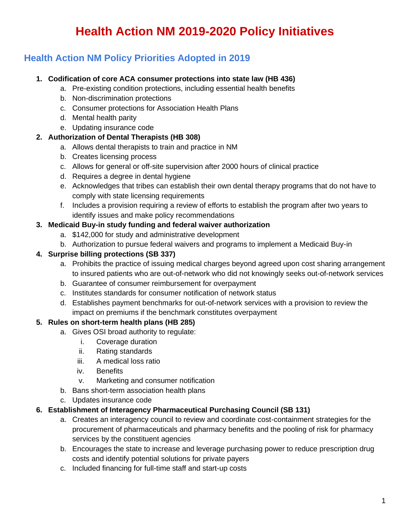# **Health Action NM 2019-2020 Policy Initiatives**

# **Health Action NM Policy Priorities Adopted in 2019**

### **1. Codification of core ACA consumer protections into state law (HB 436)**

- a. Pre-existing condition protections, including essential health benefits
- b. Non-discrimination protections
- c. Consumer protections for Association Health Plans
- d. Mental health parity
- e. Updating insurance code

# **2. Authorization of Dental Therapists (HB 308)**

- a. Allows dental therapists to train and practice in NM
- b. Creates licensing process
- c. Allows for general or off-site supervision after 2000 hours of clinical practice
- d. Requires a degree in dental hygiene
- e. Acknowledges that tribes can establish their own dental therapy programs that do not have to comply with state licensing requirements
- f. Includes a provision requiring a review of efforts to establish the program after two years to identify issues and make policy recommendations

### **3. Medicaid Buy-in study funding and federal waiver authorization**

- a. \$142,000 for study and administrative development
- b. Authorization to pursue federal waivers and programs to implement a Medicaid Buy-in

# **4. Surprise billing protections (SB 337)**

- a. Prohibits the practice of issuing medical charges beyond agreed upon cost sharing arrangement to insured patients who are out-of-network who did not knowingly seeks out-of-network services
- b. Guarantee of consumer reimbursement for overpayment
- c. Institutes standards for consumer notification of network status
- d. Establishes payment benchmarks for out-of-network services with a provision to review the impact on premiums if the benchmark constitutes overpayment

# **5. Rules on short-term health plans (HB 285)**

- a. Gives OSI broad authority to regulate:
	- i. Coverage duration
	- ii. Rating standards
	- iii. A medical loss ratio
	- iv. Benefits
	- v. Marketing and consumer notification
- b. Bans short-term association health plans
- c. Updates insurance code

# **6. Establishment of Interagency Pharmaceutical Purchasing Council (SB 131)**

- a. Creates an interagency council to review and coordinate cost-containment strategies for the procurement of pharmaceuticals and pharmacy benefits and the pooling of risk for pharmacy services by the constituent agencies
- b. Encourages the state to increase and leverage purchasing power to reduce prescription drug costs and identify potential solutions for private payers
- c. Included financing for full-time staff and start-up costs